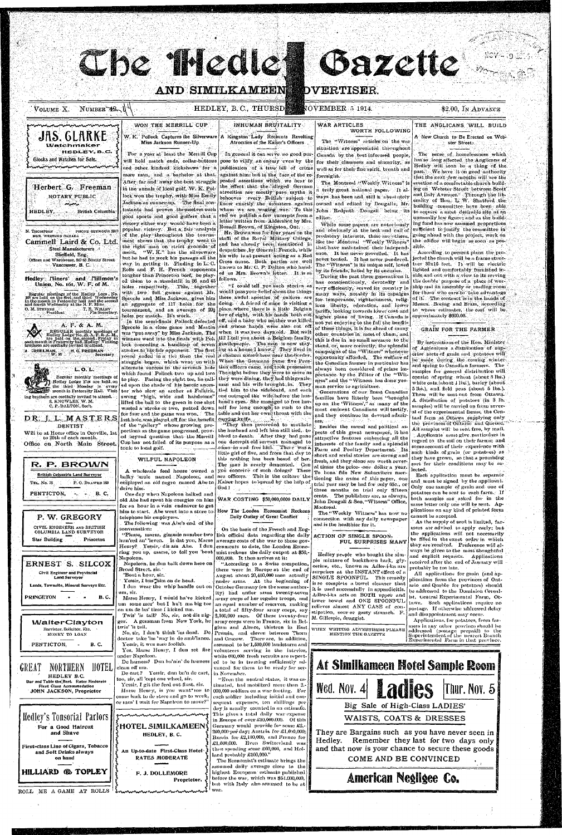**AND SIMILKAMEENS** 

# **DVERTISER**

NUMBER 72 U VOLUME X.

JAS. GLARKE

manananananananananan

Herbert G. Freeman

NOTARY PUBLIC

min

N. THOMPSON AND PHONE SEYMOUR 591

Cammell Laird & Co. Ltd

Sheffield, Eng.

Offices and Warehouse, 847-63 Beatty Street

Vancouver, B. C.

Hedley Tliners' and Tlillmen'.

Regular meetings of the Hedley Loca, No. 161 are held on the first, and third Wednesda, in the month in Fraternity hall and the second and fourth Wednesday at the N.P. Mine

 $C$ REELMAN, H. G. FREEMAN

ing brethern are cordially invited to attend.

S. KNOWLES, W. M.

C. P. DALTON, Sect.

DENTIST

to 20th of each month.

Office on North Main Street.

Union, No. 161, W. F. of M.

Steel Manufacturers

MGR. WESTERN CANADA

**British Columbia** 

T. R. WILLBY

A. F. & A. M.

L. O. L.

HEDLEY,

O. M. STEVENS

Glocks and Watches for Sale.

### HEDLEY, B.C., THURSD

## INHUMAN BRUITALITY

Atrocities of the Kaiser's Officers

would pass your belief about the things

boy of eight, with his hands both cut

A chatsan somewhere near the border.

tian officers came, and took possession

tied him to the sideboard, and each

one outraged the wife before the hus-

"They then proceeded to mutilate

the husband and left him still tied, to

bleed to death. After they had gone

one decrepit old servant managed to

come-in and free him. There was a

little girl of five, and from that day to

#### WAR ARTICLES WORTH FOLLOWING

 $\rm \ddot{O}VEMBER$  5 1914.

The "Witness" articles on the war situation are appreciated throughout Canada by the best informed people, pose to vilify, an enemy even by the for their clearness and since ity, as well as for their fine spirit, breath and foresight.

Gazette

a truly great national paper. It albehooves every British subject to ways has been and still is absolutely know exactly the monsters against owned and edited by Dougalls, Mr. John Redpath Dougall being its editor.

While some papers are notoriously and obviously at the beck and call of predatory interests, there are others, like the Montreal "Weekly Witness" that have maintained their independence. It has never grovelled. It has never touted. It has never pandered. The "Witness" is its unique self, loved by its friends, hated by its enemies.

During the past three generations it has conscientiously, devotedly and very efficiently, served its country in many ways, notably in its capaigns for temperance, righteousness, religlous liberty, education, and lower tariffs, looking towards lower cost and higher plane of living. If Canada is approximately \$600.00. not yet enjoying to the full the benfits of these things, it is far ahead of many other countries in most of them, and this is due in no small measure to the stand, or, more correctly, the splendid campaigns of the "Witness" whenever opportunity afforded, The welfare of the Canadian farmer in particular has always been considered of prime importance by the Fditor of the "Witness" and the "Witness has done yeoman service to agriculture.

Generations of our finest Canadian families have litterly been "brought up on the 'Witness'," as many of the most eminent Canadians will testify, and they continue its devoted admirers: 2011 and the first of the s

Besides the moral and political aspects of this great newspaper, it has attractive features embracing all the interests of the family and a splendid Farm and Poultry Department. Its short and serial stories are strong and this nothing has been heard of her. fresh, and they alone are worth sever-

THE ANGLICANS WILL BUILD A New Church to Be Erected on Web-

\$2.00, IN ADVANCE

ster Street.

The sense of homelessness which has so long affected the Anglicans of Hedley will soon be a thing of the past. We have it on good authority that the next few months will see the The Montreal Weekly Witness" is erection of a comfortable church building on Webster Street between Scott' and Daly Avenues. Through the liberality of Hon. L. W. Shatford the building committee have been able. to acquire a most desirable site at an unusually low figure; and as the building fund has now assumed proportions. sufficient to justify the committee in going ahead with the project, work on the edifice will begin as soon as possible.

> According to present plans the projected the church will be a frame structure 30x10 feet. It will be electric lighted and comfortably furnished inside and out with a view to its serving the double' purpose of a place of worship and an assembly or reading room for those who care to take advantage of it. The contract is in the hands of Messrs. Boeing and Brass, according to whose estimates, the cost will be

#### **GRAIN FOR THE FARMER**

By instructions of the Hon. Minister of Agriculture a distribution of superior sorts of grain and potatoes will be made during the coming winter. and spring to Canadian farmers. The samples for general distribution will consist of spring wheat (about 5 lbs.) white oats (about 4 lbs.), barley (about 5 lbs.), and field peas (about 5 lbs.). These will be sent out from Ottawa. A distribution of potatoes (in 3 lb. samples) will be carried on from several of the experimental farms, the Centaal farm at Ottawa supplying only the provinces of Ontario and Quetice." All samples will be sent free, by mail. Applicants must give particulars in regard to the soil on their farms; and some account of their -experience with  $\,$ such kinds of grain (or potatues) as they have grown, so that a promising sort for their conditions may be se-

#### W. K. Pollock Captures the Silverware A Kingston Lady Recounts Revolting Miss Jackson Runner-Up. HEDLEY.B.C. For a year at least the Merrill Cup

and other kindred kickshaws for a publication of a true bill of crime mere man, and a bachelor at that. After far and 'away the best struggle' in the annals of local golf, W. K. Pollock won the trophy, with Miss Emily Jackson as runner-up. The final contestants had proven themselves such good sports and good golfers that a victory either way would have been a popular victory. But a fair analysis of the play throughout the tournament shows that the trophy went to the right man on strict grounds of merit, "W. K." has the silverware but he had to work his passage all the way in getting it. Finding in L.C. Rolls and F. H. French opponents tougher than Princeton beef, he played them to a standstill in 36 and 45 follows. holes respectively. This, together with two full games against Mr. Sproule and Miss Jackson, gives him an aggregate of 117 holes for the doing. A friend of mine is visiting a tournament, and an average of 29} place where there is a little Belgian holes per match. It's work.

REGUILAR monthly meetings of Hodley Lodge No. 13, A, F, & A, M, each month in Fraternity hall. Hedley, in visiting involvements of the books of the product of the broad of  $\sigma$ . Regular monthly meetings of to play. Facing the eight tee, he call- they were dining, they had this gentle-Hedley Lodge 1744 are held on ed upon the shade of his heroic ances. unin and his wife brought in. They the third Monday in every month in Fraternity Hall. Visit tor who slew an archer at Falkirk, swang "high, wide and handsome" lifted the ball to the green in one shot | band's eyes. She managed to free her-DR. J. L. MASTERS last hole was played off for the benefit earying knife. of the "gallery" whose growing proportions as the game progressed, prov-Will be at Home office in Oroville, 1st

ed beyond question that the Merrill Cup has not failed of its purpose as a tonic to local golf.

WILFUL NAPOLEON

In general it can serve no good purwill hold match ends, collar-buttons

CDoc Medic

WON THE MERRILL CUP

against him, but in the face of the repeated assertions which we hear to the effect that the alleged German atrocities are mostly pure myths it whom we are waging war. To this end we publish a few excerpts from a letter written from Aldershot by Mrs. Russell Brown, of Kingston, Ont. Mr. Brown was for four years on the staffi of the Royal Military College, and has already becaus mentioned in despatches by General French, while his wife is at present acting as a Red Cross nurse. Both parties are well known to Mr. C. P. Dalton who handed us Mrs. Brown's letter. It is as "I could tell you such stories as

these awful apostles of culture are off, and a baby who mother was killed In the semi-finals Pollock defeated

Sproule in a close game and Martin and whose hands were also cut off was "put away" by Miss Jackson. The when it was two days old. But wait winners went into the finals with Pol. till I tell you about a Belgium family, lock conceding a handicap of seven gentlepeople. The man is now staystrokes to his fair opponent. The first |ing at a house I know. They lived in round ended in a tie: then the real struggle began, which went on with When the Gormans fame five Prusalternate success to the seventh hole which found Pollock two up and two The night before they were to move as wasted a stroke or two, putted down self for long enough to rush to the for four and the game was won, The Lable and cut her own throat with the

| ROLL ME A GAME AT ROLLS 'Ennummunnummunnum                          |                                                                               | war.                                                                                                                                                                          |                                                                                                                        |                                                                                                                                                   |
|---------------------------------------------------------------------|-------------------------------------------------------------------------------|-------------------------------------------------------------------------------------------------------------------------------------------------------------------------------|------------------------------------------------------------------------------------------------------------------------|---------------------------------------------------------------------------------------------------------------------------------------------------|
| HILLIARD @ TOPLEY                                                   | F. J. DOLLEMORE<br>Proprietor.                                                | highest European estimate published<br>before the war, which was \$54,000,000,<br>but with Italy also assumed to be at                                                        | American Negligee Co.                                                                                                  |                                                                                                                                                   |
| on hand                                                             | RATES MODERATE                                                                | The Economist's estimate brings the<br>assumed daily average close to the                                                                                                     | COME AND BE CONVINCED                                                                                                  |                                                                                                                                                   |
| First-class Line of Cigars, Tobacco<br>and Soft Drinks always       | An Up-to-date First-Class Hotel                                               | then spending some £60,006, and Hol-<br>land probably £100,000."                                                                                                              | and that now is your chance to secure these goods                                                                      |                                                                                                                                                   |
|                                                                     | HEDLEY, B.C.                                                                  | Russia for £2,100,000, and France for<br>£1,600,000. Even Switzerland was                                                                                                     | Hedley.                                                                                                                | Remember they last for two days only                                                                                                              |
| For a Good Haircut<br>and Shave                                     | }HOTEL SIMILKAMEEN{                                                           | Germany would provide for some £2,-<br>200,000 per day; Austria for £1,600,000;                                                                                               | They are Bargains such as you have never seen in                                                                       |                                                                                                                                                   |
| Hedley's Tonsorial Parlors                                          |                                                                               | This gives a total daily war expense<br>in Emope of over $\pounds10,\!000.000.$ Of this $[$                                                                                   | WAISTS, COATS & DRESSES                                                                                                |                                                                                                                                                   |
|                                                                     | or mus' I wait fer Napoleon to move?"                                         | sequent expenses, ten shillings per<br>day is usually counted in an estimate.                                                                                                 | Big Sale of High-Class LADIES'                                                                                         |                                                                                                                                                   |
| JOHN JACKSON, Proprietor                                            | Marse Henry, is you want me to<br>come back to de store and go to work,       | 600,000 soldiers on a war footing. For<br>each soldier including initial and con-                                                                                             |                                                                                                                        |                                                                                                                                                   |
| Bar and Table the Best. Rates Moderate<br>First Class Accommodation | too, sir, all 'cept one wheel, sir.<br>Yessir, I git the feed out flust, sin. | "Even the neutral states, it was es-<br>timated, had mobilized more than 2.-                                                                                                  | <b>Wed. Nov. 4</b>                                                                                                     | Thur. Nov. 51                                                                                                                                     |
| GREAT<br>HOTEL<br>NORTHERN<br>HEDLEY B.C.                           | clean off um.<br>De cart? Yessir, dun bu'n de cart,                           | vanced for them to be ready for ser-<br>in November.                                                                                                                          |                                                                                                                        |                                                                                                                                                   |
|                                                                     | under Napoleon.<br>De harness? Dun bu'nin' de harness                         | while $600,000$ fresh recruits are report-<br>ed to be in training sufficiently ad-                                                                                           | At Similkameen Hotel Sample Room                                                                                       |                                                                                                                                                   |
| PENTICTON,<br><b>B.C.</b>                                           | Yessir, it wus sure foolish.<br>Yes, Marse Henry, I dun set fire              | assumed to be 1,500,000 landsturm and<br>volunteers serving in the interior,                                                                                                  | <b>Party and the company of the company of the company of the company of the company of the company of the company</b> |                                                                                                                                                   |
| MONEY TO LOAN                                                       | doctor take 'im 'way in de amb'lance.                                         | and Cracow. There are, in addition,                                                                                                                                           | MENTION THE GAZETTE                                                                                                    | Superintendent of the nearest Branch<br>Experimental Farm in that province.                                                                       |
| <b>WalterClayton</b><br>Barrister, Solicitor, Etc.                  | twis' 'is tail.<br>No, sir, I don't think 'im dead. De                        | gium and Alsace, thirteen in East<br>Prussia, and eleven between Thorn                                                                                                        | WHEN WRITING ADVERTISERS PLEASE                                                                                        | mers in any other province should be<br>addressed (postage prepaid) to the                                                                        |
|                                                                     | Twis' 'is tail? No, sir, not dis nig-<br>ger. A gemman from New York, he      | 2,160,000 men. Of these twenty-four<br>army corps were in France, six in Bel-                                                                                                 | stipation, sour or gassy stomach. F<br>M. Gillespie, druggist.                                                         | and disappointment may occur.<br>Applications, for potatoes, from far-                                                                            |
|                                                                     | um some mor' but I hu't ma big toe<br>on um de las' time I kicked um.         | an equal number of reserves, making<br>a total of fifty-four army corps, say                                                                                                  | lower bowel and ONE SPOONFUL<br>relieves almost ANY CASE of con-                                                       | tawa. Such applications require no<br>postage. If otherwise addressed delay                                                                       |
| <b>PRINCETON</b><br>B. C.                                           | um, sir.                                                                      | ity) had under arms twenty-seven<br>Marse Henry, I would ha've kicked   army corps of her regular troops, and                                                                 | it is used successfully in appendicitis.<br>Adler-i-ka acts on BOTH upper and                                          | be addressed to the Dominion Cereal-<br>ist, Central Experimental Farm, Ot-                                                                       |
| Lands, Townsite, Mineral Surveys Etc.                               | Yessir, I bus"him on de head.                                                 | nnder arms. At the beginning of<br>I dun wear the whip handle out on October Germany (on the same author-                                                                     | is so complete a bowel cleanser that                                                                                   | plications from the provinces of Ont-<br>ario and Quebec for potatoes) should                                                                     |
| Civil Engineer and Provincial<br>Land Surveyor                      | Broad Street, sir.<br>'Bout a hour, sir.                                      | there were in Europe at the end of<br>August about 20,400,000 men actually                                                                                                    | surprises at the INSTANT effect of a<br>SINGLE SPOONFUL. This remedy                                                   | All applications for grain (and ap-                                                                                                               |
| ERNEST S. SILCOX                                                    | Napoleon.<br>Napoleon, he dun balk down here on                               | $ 000,000$ . It thus arrives at it:<br>"According to a Swiss compution,                                                                                                       | ple mixture of buckthorn bark, gly-<br>cerine, etc., known as Adler-i-ka are                                           | received after the end of January will<br>probably be too late.                                                                                   |
|                                                                     |                                                                               | ring you up, marse, to tell you 'bout   mist reckons the daily output at \$50,-                                                                                               | Hedley people who bought the sim-                                                                                      | ways be given to the most thoughtful<br>and explicit requests. Applications                                                                       |
| Star Building<br>Princeton                                          |                                                                               | hun'red an' leven. Is dat you, Marse   average costs of the war to those gov-<br>Henry? Yessir, dis am Abe. I dun ernments to date, the London Econo-                         | FUL SURPRISES MANY                                                                                                     | be filled in the exact order in which<br>they are received. Preference will al-                                                                   |
| CIVIL ENGINEER AND BRITISH<br>COLUMBIA LAND SURVEYOR                | conversation:                                                                 | On the basis of the French and Eng-<br>"Please, marm, gimmic number two lish official data regarding the daily                                                                | ACTION OF SINGLE SPOON-                                                                                                | mers are advised to apply early; but<br>the applications will not necessarily                                                                     |
| P. W. GREGORY                                                       | telephone his employers.<br>The following was Abe's end of the                |                                                                                                                                                                               | connection, with any daily newspaper<br>and is the healthier for it.                                                   | As the supply of seed is limited, far-                                                                                                            |
|                                                                     |                                                                               | him to start. Abe went into a store to How The London Economist Reckons<br>Daily Outlay of Great Conflict                                                                     | Moetreal.<br>The "Weekly Witness" has now no                                                                           | plications on any kind of printed form<br>cannot be accepted.                                                                                     |
|                                                                     | for an hour in a vain endeavor to get                                         | old Abe had spent his energies on him   WAR COSTING \$50,000,0000 DAILY                                                                                                       | John Dougall & Son, "Witness" Office,                                                                                  | both samples are asked for in the<br>same letter only one will be sent. Ap-                                                                       |
| PENTICTON,<br><b>B.C.</b>                                           | drive him.<br>One day when Napoleon balked and                                | God !                                                                                                                                                                         | three months on trial only fifteen<br>cents. The publishers are, as always,                                            | potatoes can be sent to each farm. If                                                                                                             |
| P.O. DRAWER 160<br>TEL, No. 78                                      |                                                                               | employed an old negro named Abe to Kaiser hopes to spread by the help of                                                                                                      | tioning the name of this paper, one<br>trial year may be had for only 65c., or                                         | and must be signed by the applicant.<br>Only one sample of grain and one of                                                                       |
| K. F. DRUWN<br><b>British Columbia Land Surveyor</b>                |                                                                               | Lue man is nearly demented. Can<br>A wholesale feed house owned a you conceive of such doings? These<br>balky "mule named Napoleon, and are officers. This is the culture the | al times the price-one dollar a year.<br>To bona fide New Subscribers men-                                             | $\mathbf{S}$ and $\mathbf{S}$ and $\mathbf{S}$ and $\mathbf{S}$ and $\mathbf{S}$ and $\mathbf{S}$<br>iected.<br>Each application must be separate |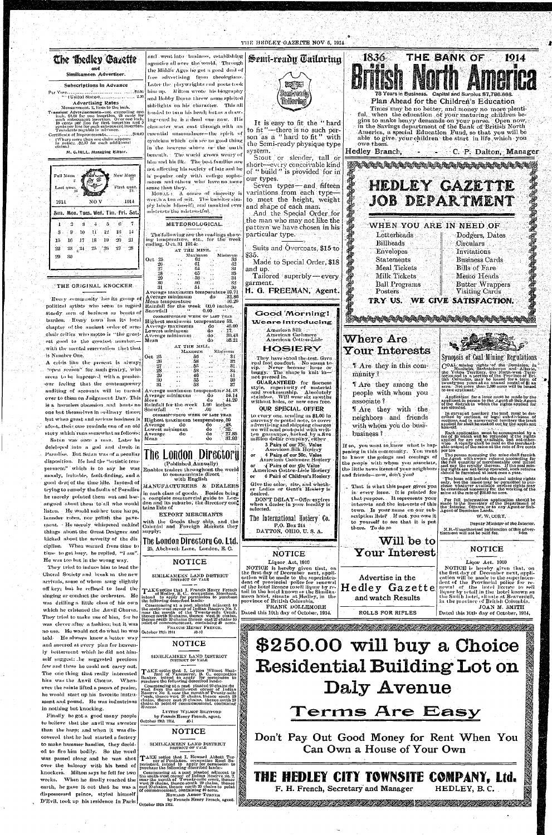#### THE HEDLEY GAZETTE NOV 5, 1914.



The London Directory

LYTTON WILMOT SHATFORD<br>by Francis Henry French, agent.

-10-i

NOTICE

SIMILKAMEEN LAND DISTRICT DISTRICT OF YALE

TAKE notice that I, Howard Abbott Turner of Penticton, occupation Road Superintent, intend to apply for permission to purchase the following described lands:

commencing at a post planted adjacent to<br>the south-west corner of Indian Reserve so. 2,<br>near the mouth of Twenty-mile creek, thence<br>est 20 chains, thence south 20 chains, thence<br>east 20 chains, thence north 20 chains to po

HOWARD ABBOT TURNER

by Francis Henry French, agent.

October 19th 1914.

October 19th 1914.

THE BANK OF 1836 1914 78 Years in Business. Capital and Surplus \$7,786.666. Plan Ahead for the Children's Education Times may be no better, and money no more plentiful, when the education of your maturing children begins to make heavy demands on your purse. Open now, in the Savings department of the Bank of British North America, a special Education Fund, so that you will be able to give your children the start in life which you owe them. Hedley Branch, ... F. C. P. Dalton, Manager STRIKARE RENDERE REGISTER DER REGISTER HEDLEY GAZETTE JOB DEPARTMENT WHEN YOU ARE IN NEED OF Letterheads Dodgers, Dates Billheads Circulars Envelopes **Invitations Business Cards Statements** Bills of Fare Meal Tickets Milk Tickets Memo Heads **Ball Programs Butter Wrappers** Visiting Cards Posters TRY US. WE GIVE SATISFACTION. Where Are Your Interests Synopsis of Coal Mining Regulations COAL mining rights of the Dominion, in<br>the Yukon Territory, the North-west Territorial and Alberta,<br>the Yukon Territory, the North-west Territorial and in a portion of the Province of Bri-<br>tish Columbia, may be leased for **LAre** they in this community? If Are they among the to one applicant. people with whom you Application for a lease must be made by the applicant in person to the Agent of Sub-Agent of the district in which the rights applied for are situated. associate? If Are they with the In survoyed territory the land must be described by sections, or legal sub-divisions of sections, and in unsurveyed territory the tract applicant himself, neighbors and friends with whom you do busi-Fach application must be accompanied by a fee of \$5 which will be redunded if the rights<br>applied for are not available, but not other wise. A regular of the reduction<br>wise. A regular wise wise wise the paid on the merchant business? 3 Pairs of our 75c. Value<br>American Silk Hostery If so, you want to know what is happening in this community. You want per ton<br>The person operating the mine shall furnish<br>the Agent with sworn returns accounting for<br>the full quantity of merchantable coal mined<br>and pay the royalty thereon. If the coal min-<br>ing rights are not being operated, 4 Pairs of our 50c. Value to know the goings and comings of American Cashmere Hosiery the people with whom you associate,

Don't Pay Out Good Money for Rent When You

Can Own a House of Your Own

THE HEDLEY CITY TOWNSITE COMPANY, Ltd.

<u> Kanalala kata ya kusingana kata ya kusinga kata ya kata ya kata ya kata ya kata ya kata ya kata ya kata ya k</u>

HEDLEY, B.C.

F. H. French, Secretary and Manager



Finally be got a good many people to believe that the anvil was sweeter than the harp; and when it was discovered that he had started a factory to make hammer handles, they decided to fire him bodily. So the word was passed along and he was shot over the balcony with his band of knockers. Milton says he fell for two weeks. When he finally reached the earth, he gave it out that he was a dispossessed prince, styled himself D'Evil, took up his residence in Paris

Paradise. But Satan was of a peculiar